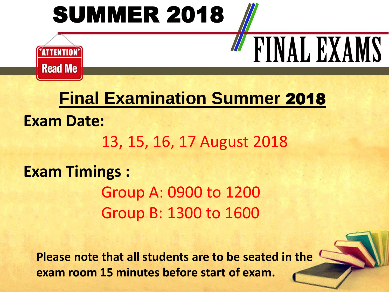# **SUMMER 2018**



## **Final Examination Summer** 2018

**FINAL EXAMS** 

**Exam Date:**  13, 15, 16, 17 August 2018 **Exam Timings :**  Group A: 0900 to 1200 Group B: 1300 to 1600

**Please note that all students are to be seated in the exam room 15 minutes before start of exam.**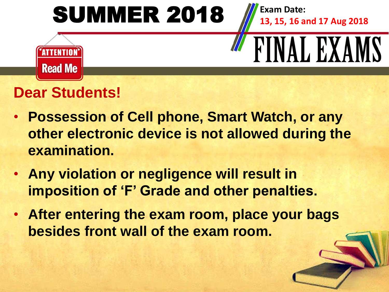

## **Dear Students!**

- **Possession of Cell phone, Smart Watch, or any other electronic device is not allowed during the examination.**
- **Any violation or negligence will result in imposition of 'F' Grade and other penalties.**
- **After entering the exam room, place your bags besides front wall of the exam room.**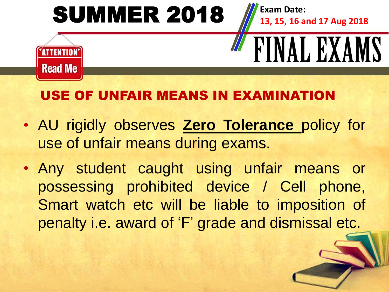

## USE OF UNFAIR MEANS IN EXAMIN

- AU rigidly observes **Zero Tolerance** policy for use of unfair means during exams.
- Any student caught using unfair means or possessing prohibited device / Cell phone, Smart watch etc will be liable to imposition of penalty i.e. award of 'F' grade and dismissal etc.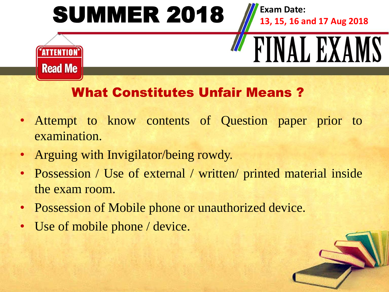

#### What Constitutes Unfair Means ?

- Attempt to know contents of Question paper prior to examination.
- Arguing with Invigilator/being rowdy.
- Possession / Use of external / written/ printed material inside the exam room.
- Possession of Mobile phone or unauthorized device.
- Use of mobile phone / device.

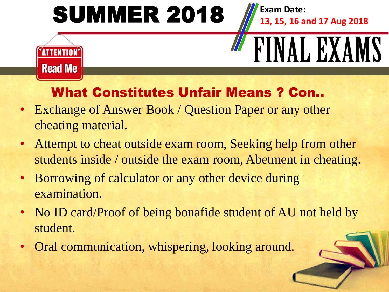

#### What Constitutes Unfair Means ? Con..

- Exchange of Answer Book / Question Paper or any other cheating material.
- Attempt to cheat outside exam room, Seeking help from other students inside / outside the exam room, Abetment in cheating.
- Borrowing of calculator or any other device during examination.
- No ID card/Proof of being bonafide student of AU not held by student.
- Oral communication, whispering, looking around.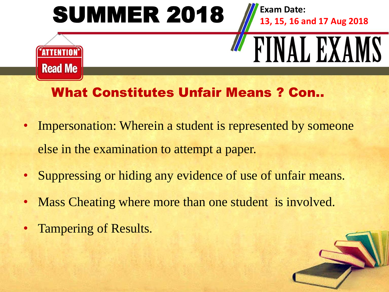

#### What Constitutes Unfair Means ? Con..

- Impersonation: Wherein a student is represented by someone else in the examination to attempt a paper.
- Suppressing or hiding any evidence of use of unfair means.
- Mass Cheating where more than one student is involved.
- Tampering of Results.

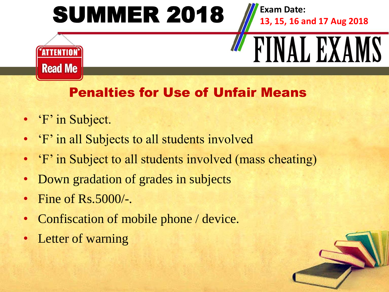

#### Penalties for Use of Unfair Means

- 'F' in Subject.
- 'F' in all Subjects to all students involved
- 'F' in Subject to all students involved (mass cheating)
- Down gradation of grades in subjects
- Fine of Rs.5000/-.
- Confiscation of mobile phone / device.
- Letter of warning

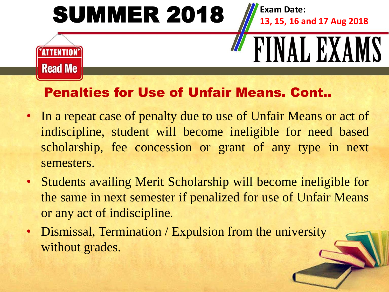

#### Penalties for Use of Unfair Means. Cont..

- In a repeat case of penalty due to use of Unfair Means or act of indiscipline, student will become ineligible for need based scholarship, fee concession or grant of any type in next semesters.
- Students availing Merit Scholarship will become ineligible for the same in next semester if penalized for use of Unfair Means or any act of indiscipline.
- Dismissal, Termination / Expulsion from the university without grades.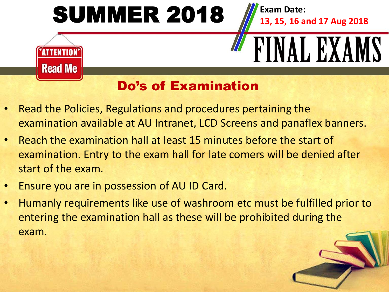

#### Do's of Examination

- Read the Policies, Regulations and procedures pertaining the examination available at AU Intranet, LCD Screens and panaflex banners.
- Reach the examination hall at least 15 minutes before the start of examination. Entry to the exam hall for late comers will be denied after start of the exam.
- Ensure you are in possession of AU ID Card.
- Humanly requirements like use of washroom etc must be fulfilled prior to entering the examination hall as these will be prohibited during the exam.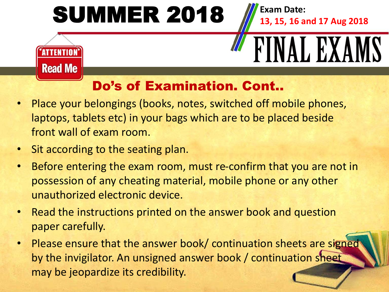

## Do's of Examination. Cont..

- Place your belongings (books, notes, switched off mobile phones, laptops, tablets etc) in your bags which are to be placed beside front wall of exam room.
- Sit according to the seating plan.
- Before entering the exam room, must re-confirm that you are not in possession of any cheating material, mobile phone or any other unauthorized electronic device.
- Read the instructions printed on the answer book and question paper carefully.
- Please ensure that the answer book/ continuation sheets are signed by the invigilator. An unsigned answer book / continuation sheet may be jeopardize its credibility.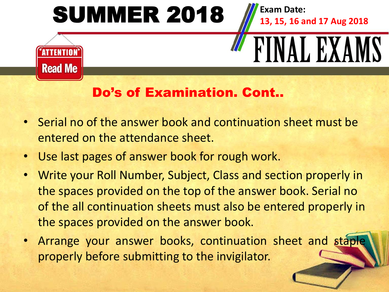

#### Do's of Examination. Cont..

- Serial no of the answer book and continuation sheet must be entered on the attendance sheet.
- Use last pages of answer book for rough work.
- Write your Roll Number, Subject, Class and section properly in the spaces provided on the top of the answer book. Serial no of the all continuation sheets must also be entered properly in the spaces provided on the answer book.
- Arrange your answer books, continuation sheet and staple properly before submitting to the invigilator.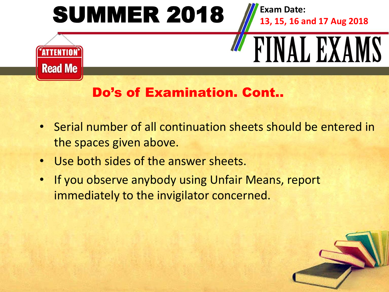

#### Do's of Examination. Cont..

- Serial number of all continuation sheets should be entered in the spaces given above.
- Use both sides of the answer sheets.
- If you observe anybody using Unfair Means, report immediately to the invigilator concerned.

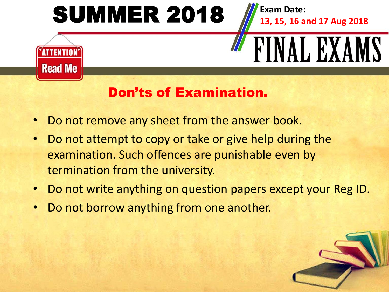

#### Don'ts of Examination.

- Do not remove any sheet from the answer book.
- Do not attempt to copy or take or give help during the examination. Such offences are punishable even by termination from the university.
- Do not write anything on question papers except your Reg ID.
- Do not borrow anything from one another.